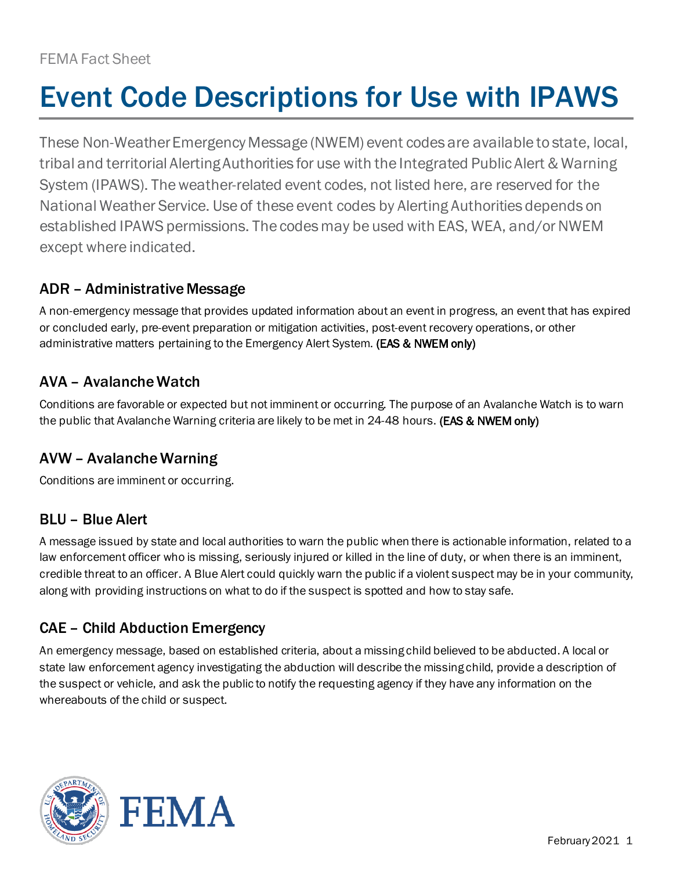# Event Code Descriptions for Use with IPAWS

These Non-Weather Emergency Message (NWEM) event codes are available to state, local, tribal and territorial Alerting Authorities for use with the Integrated Public Alert & Warning System (IPAWS). The weather-related event codes, not listed here, are reserved for the National Weather Service. Use of these event codes by Alerting Authorities depends on established IPAWS permissions. The codes may be used with EAS, WEA, and/or NWEM except where indicated.

# ADR – Administrative Message

A non-emergency message that provides updated information about an event in progress, an event that has expired or concluded early, pre-event preparation or mitigation activities, post-event recovery operations, or other administrative matters pertaining to the Emergency Alert System. (EAS & NWEM only)

# AVA – Avalanche Watch

Conditions are favorable or expected but not imminent or occurring. The purpose of an Avalanche Watch is to warn the public that Avalanche Warning criteria are likely to be met in 24-48 hours. (EAS & NWEM only)

# AVW – Avalanche Warning

Conditions are imminent or occurring.

# BLU – Blue Alert

A message issued by state and local authorities to warn the public when there is actionable information, related to a law enforcement officer who is missing, seriously injured or killed in the line of duty, or when there is an imminent, credible threat to an officer. A Blue Alert could quickly warn the public if a violent suspect may be in your community, along with providing instructions on what to do if the suspect is spotted and how to stay safe.

# CAE – Child Abduction Emergency

An emergency message, based on established criteria, about a missing child believed to be abducted. A local or state law enforcement agency investigating the abduction will describe the missing child, provide a description of the suspect or vehicle, and ask the public to notify the requesting agency if they have any information on the whereabouts of the child or suspect.

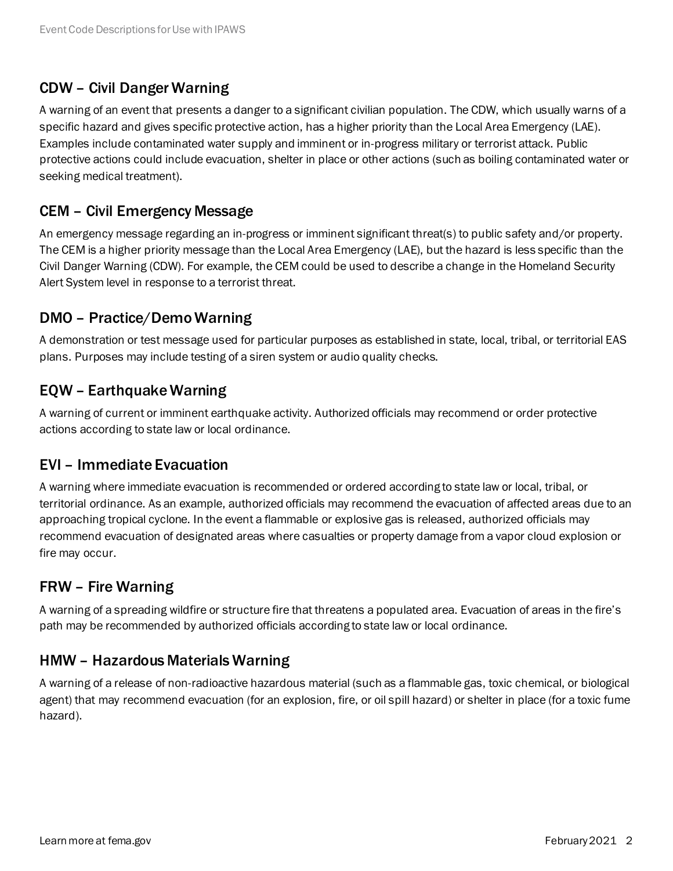## CDW – Civil Danger Warning

A warning of an event that presents a danger to a significant civilian population. The CDW, which usually warns of a specific hazard and gives specific protective action, has a higher priority than the Local Area Emergency (LAE). Examples include contaminated water supply and imminent or in-progress military or terrorist attack. Public protective actions could include evacuation, shelter in place or other actions (such as boiling contaminated water or seeking medical treatment).

#### CEM – Civil Emergency Message

An emergency message regarding an in-progress or imminent significant threat(s) to public safety and/or property. The CEM is a higher priority message than the Local Area Emergency (LAE), but the hazard is less specific than the Civil Danger Warning (CDW). For example, the CEM could be used to describe a change in the Homeland Security Alert System level in response to a terrorist threat.

#### DMO – Practice/DemoWarning

A demonstration or test message used for particular purposes as established in state, local, tribal, or territorial EAS plans. Purposes may include testing of a siren system or audio quality checks.

#### EQW – Earthquake Warning

A warning of current or imminent earthquake activity. Authorized officials may recommend or order protective actions according to state law or local ordinance.

#### EVI – Immediate Evacuation

A warning where immediate evacuation is recommended or ordered according to state law or local, tribal, or territorial ordinance. As an example, authorized officials may recommend the evacuation of affected areas due to an approaching tropical cyclone. In the event a flammable or explosive gas is released, authorized officials may recommend evacuation of designated areas where casualties or property damage from a vapor cloud explosion or fire may occur.

#### FRW – Fire Warning

A warning of a spreading wildfire or structure fire that threatens a populated area. Evacuation of areas in the fire's path may be recommended by authorized officials according to state law or local ordinance.

#### HMW – Hazardous Materials Warning

A warning of a release of non-radioactive hazardous material (such as a flammable gas, toxic chemical, or biological agent) that may recommend evacuation (for an explosion, fire, or oil spill hazard) or shelter in place (for a toxic fume hazard).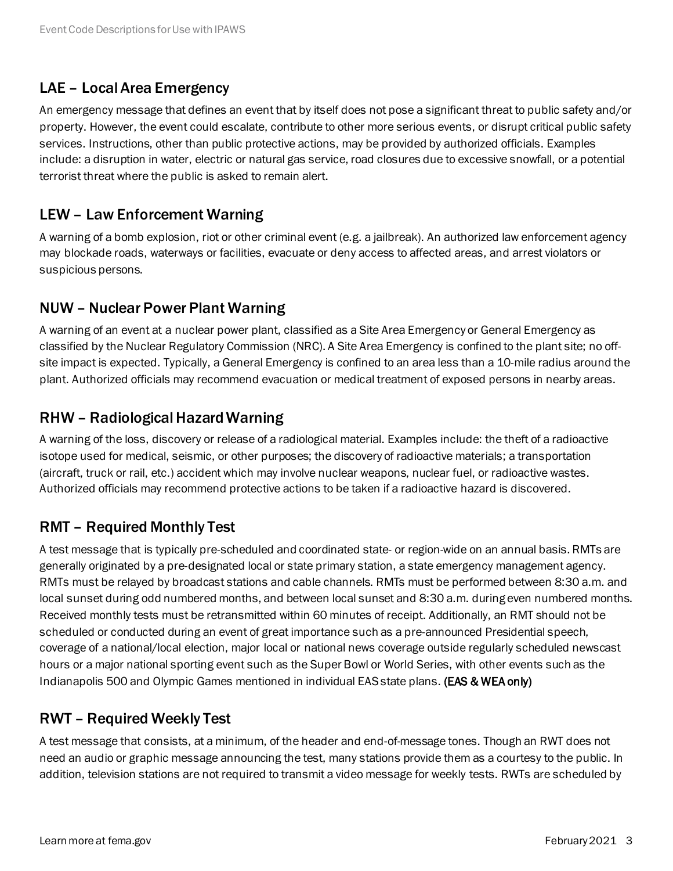## LAE – Local Area Emergency

An emergency message that defines an event that by itself does not pose a significant threat to public safety and/or property. However, the event could escalate, contribute to other more serious events, or disrupt critical public safety services. Instructions, other than public protective actions, may be provided by authorized officials. Examples include: a disruption in water, electric or natural gas service, road closures due to excessive snowfall, or a potential terrorist threat where the public is asked to remain alert.

#### LEW – Law Enforcement Warning

A warning of a bomb explosion, riot or other criminal event (e.g. a jailbreak). An authorized law enforcement agency may blockade roads, waterways or facilities, evacuate or deny access to affected areas, and arrest violators or suspicious persons.

#### NUW – Nuclear Power Plant Warning

A warning of an event at a nuclear power plant, classified as a Site Area Emergency or General Emergency as classified by the Nuclear Regulatory Commission (NRC). A Site Area Emergency is confined to the plant site; no offsite impact is expected. Typically, a General Emergency is confined to an area less than a 10-mile radius around the plant. Authorized officials may recommend evacuation or medical treatment of exposed persons in nearby areas.

#### RHW – Radiological Hazard Warning

A warning of the loss, discovery or release of a radiological material. Examples include: the theft of a radioactive isotope used for medical, seismic, or other purposes; the discovery of radioactive materials; a transportation (aircraft, truck or rail, etc.) accident which may involve nuclear weapons, nuclear fuel, or radioactive wastes. Authorized officials may recommend protective actions to be taken if a radioactive hazard is discovered.

#### RMT – Required Monthly Test

A test message that is typically pre-scheduled and coordinated state- or region-wide on an annual basis. RMTs are generally originated by a pre-designated local or state primary station, a state emergency management agency. RMTs must be relayed by broadcast stations and cable channels. RMTs must be performed between 8:30 a.m. and local sunset during odd numbered months, and between local sunset and 8:30 a.m. during even numbered months. Received monthly tests must be retransmitted within 60 minutes of receipt. Additionally, an RMT should not be scheduled or conducted during an event of great importance such as a pre-announced Presidential speech, coverage of a national/local election, major local or national news coverage outside regularly scheduled newscast hours or a major national sporting event such as the Super Bowl or World Series, with other events such as the Indianapolis 500 and Olympic Games mentioned in individual EAS state plans. (EAS & WEA only)

#### RWT – Required Weekly Test

A test message that consists, at a minimum, of the header and end-of-message tones. Though an RWT does not need an audio or graphic message announcing the test, many stations provide them as a courtesy to the public. In addition, television stations are not required to transmit a video message for weekly tests. RWTs are scheduled by